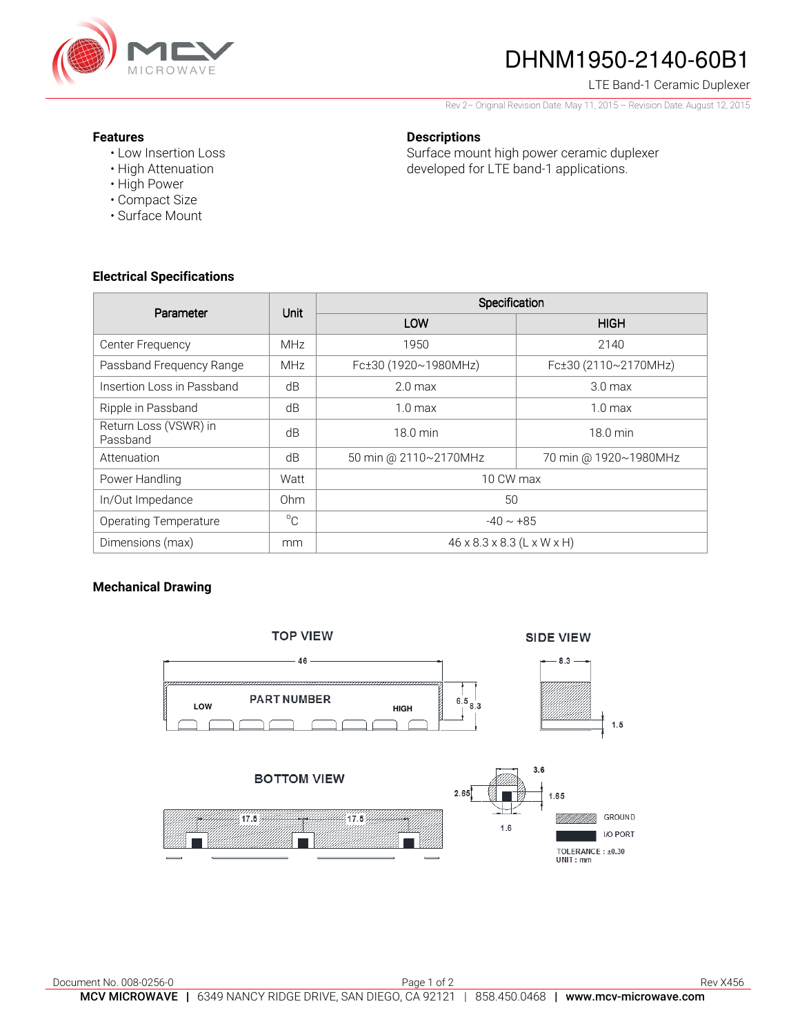

# DHNM1950-2140-60B1

#### LTE Band-1 Ceramic Duplexer

Rev 2– Original Revision Date: May 11, 2015 – Revision Date: August 12, 2015

#### **Features**

- Low Insertion Loss
- High Attenuation
- High Power
- Compact Size
- Surface Mount

## **Descriptions**

Surface mount high power ceramic duplexer developed for LTE band-1 applications.

## **Electrical Specifications**

| Parameter                         | Unit        | Specification                          |                       |
|-----------------------------------|-------------|----------------------------------------|-----------------------|
|                                   |             | LOW                                    | <b>HIGH</b>           |
| Center Frequency                  | <b>MHz</b>  | 1950                                   | 2140                  |
| Passband Frequency Range          | <b>MHz</b>  | Fc±30 (1920~1980MHz)                   | Fc±30 (2110~2170MHz)  |
| Insertion Loss in Passband        | dB          | 2.0 <sub>max</sub>                     | 3.0 <sub>max</sub>    |
| Ripple in Passband                | dB          | $1.0 \text{ max}$                      | 1.0 <sub>max</sub>    |
| Return Loss (VSWR) in<br>Passband | dB          | 18.0 min                               | $18.0 \text{ min}$    |
| Attenuation                       | dB          | 50 min @ 2110~2170MHz                  | 70 min @ 1920~1980MHz |
| Power Handling                    | Watt        | 10 CW max                              |                       |
| In/Out Impedance                  | Ohm         | 50                                     |                       |
| <b>Operating Temperature</b>      | $^{\circ}C$ | $-40 \sim +85$                         |                       |
| Dimensions (max)                  | mm          | $46 \times 8.3 \times 8.3$ (L x W x H) |                       |

## **Mechanical Drawing**